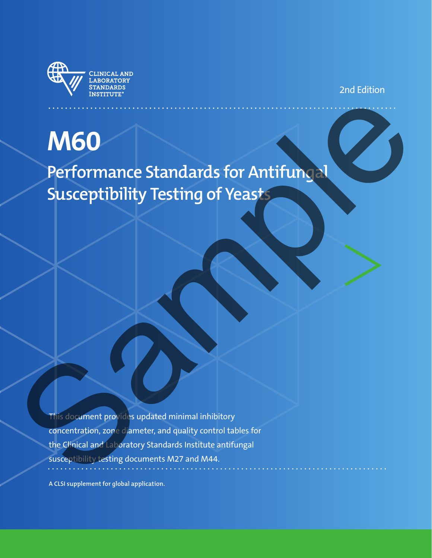

2nd Edition

# **M60 Performance Standards for Antifungal Susceptibility Testing of Yeasts** M60<br>Performance Standards for Antifune of<br>Susceptibility Testing of Yeast<br>Susceptibility Testing of Yeast<br>Susception and contained in this contribution<br>the Chinal and Chinal Standards Institute antifungal<br>susception and co

This document provides updated minimal inhibitory concentration, zone diameter, and quality control tables for the Clinical and Laboratory Standards Institute antifungal susceptibility testing documents M27 and M44.

**A CLSI supplement for global application.**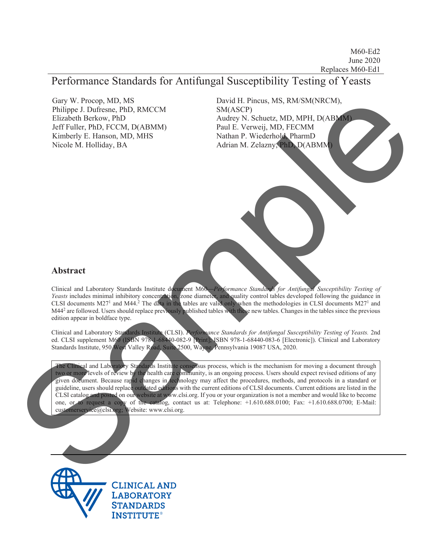# Performance Standards for Antifungal Susceptibility Testing of Yeasts

Gary W. Procop, MD, MS Philippe J. Dufresne, PhD, RMCCM Elizabeth Berkow, PhD Jeff Fuller, PhD, FCCM, D(ABMM) Kimberly E. Hanson, MD, MHS Nicole M. Holliday, BA

David H. Pincus, MS, RM/SM(NRCM), SM(ASCP) Audrey N. Schuetz, MD, MPH, D(ABMM) Paul E. Verweij, MD, FECMM Nathan P. Wiederhold, PharmD Adrian M. Zelazny, PhD, D(ABMM)

#### **Abstract**

Clinical and Laboratory Standards Institute document M60<sup>-Perf</sup>ormance Standards for Antifungal Susceptibility Testing of Yeasts includes minimal inhibitory concentration, zone diameter, and quality control tables developed following the guidance in CLSI documents M27<sup>1</sup> and M44.<sup>2</sup> The data in the tables are valid only when the methodologies in CLSI documents M27<sup>1</sup> and M44<sup>2</sup> are followed. Users should replace previously published tables with these new tables. Changes in the tables since the previous edition appear in boldface type.

Clinical and Laboratory Standards Institute (CLSI). *Performance Standards for Antifungal Susceptibility Testing of Yeasts.* 2nd ed. CLSI supplement M60 (ISBN 978-1-68440-082-9 [Print]; ISBN 978-1-68440-083-6 [Electronic]). Clinical and Laboratory Standards Institute, 950 West Valley Road, Suite 2500, Wayne, Pennsylvania 19087 USA, 2020.

The Clinical and Laboratory Standards Institute consensus process, which is the mechanism for moving a document through two or more levels of review by the health care community, is an ongoing process. Users should expect revised editions of any given document. Because rapid changes in technology may affect the procedures, methods, and protocols in a standard or guideline, users should replace outdated editions with the current editions of CLSI documents. Current editions are listed in the CLSI catalog and posted on our website at www.clsi.org. If you or your organization is not a member and would like to become one, or to request a copy of the catalog, contact us at: Telephone: +1.610.688.0100; Fax: +1.610.688.0700; E-Mail: customerservice@clsi.org; Website: www.clsi.org. Car W. Process, PhD, EMCCM<br>
Bulliness, D. D. Horstein, PhD, EMCCM<br>
Elizabeth Britannich (S. P. Monters, M. P. C. P. Monters, M. P. C. P. Monters, M. P. C. P. Monters, M. P. C. P. Monters, M. P. C. P. Monters, M. P. C. P. M



**CLINICAL AND LABORATORY STANDARDS INSTITUTE®**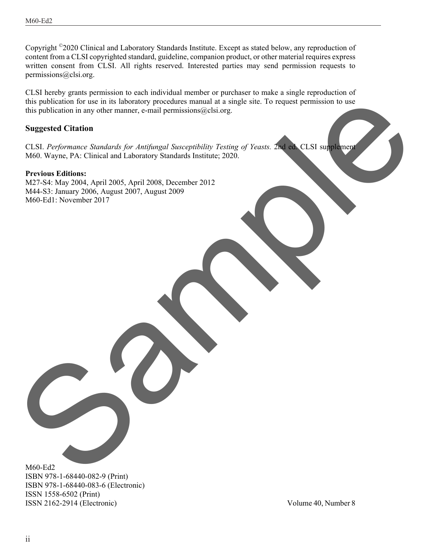Copyright ©2020 Clinical and Laboratory Standards Institute. Except as stated below, any reproduction of content from a CLSI copyrighted standard, guideline, companion product, or other material requires express written consent from CLSI. All rights reserved. Interested parties may send permission requests to permissions@clsi.org.

CLSI hereby grants permission to each individual member or purchaser to make a single reproduction of this publication for use in its laboratory procedures manual at a single site. To request permission to use this publication in any other manner, e-mail permissions $@clsi.org$ . the publication in any other manner, e-mail permusicanized air and the Through Control of the publication in any other manner, e-mail permusicanized air or  $\frac{1}{2}$  samples of Castlement Castlement Control of the specific

#### **Suggested Citation**

CLSI. *Performance Standards for Antifungal Susceptibility Testing of Yeasts.* 2nd ed. CLSI supplement M60. Wayne, PA: Clinical and Laboratory Standards Institute; 2020.

#### **Previous Editions:**

M27-S4: May 2004, April 2005, April 2008, December 2012 M44-S3: January 2006, August 2007, August 2009 M60-Ed1: November 2017

M60-Ed2 ISBN 978-1-68440-082-9 (Print) ISBN 978-1-68440-083-6 (Electronic) ISSN 1558-6502 (Print) ISSN 2162-2914 (Electronic)

Volume 40, Number 8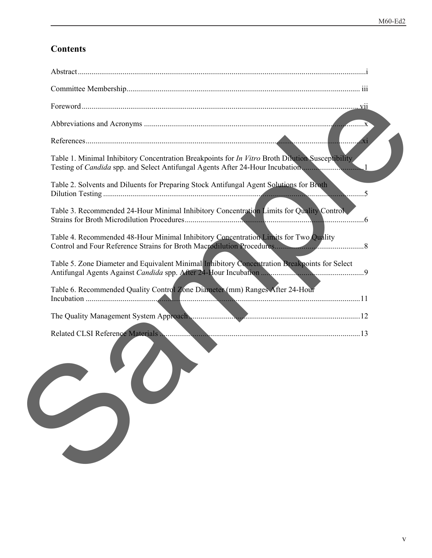# **Contents**

| Table 1. Minimal Inhibitory Concentration Breakpoints for <i>In Vitro</i> Broth Dilution Susceptibility<br>Testing of Candida spp. and Select Antifungal Agents After 24-Hour Incubation1 |  |
|-------------------------------------------------------------------------------------------------------------------------------------------------------------------------------------------|--|
| Table 2. Solvents and Diluents for Preparing Stock Antifungal Agent Solutions for Broth                                                                                                   |  |
| Table 3. Recommended 24-Hour Minimal Inhibitory Concentration Limits for Quality Control                                                                                                  |  |
| Table 4. Recommended 48-Hour Minimal Inhibitory Concentration Limits for Two Quality                                                                                                      |  |
| Table 5. Zone Diameter and Equivalent Minimal Inhibitory Concentration Breakpoints for Select                                                                                             |  |
| Table 6. Recommended Quality Control Zone Diameter (mm) Ranges After 24-Hour                                                                                                              |  |
| The Quality Management System Approach                                                                                                                                                    |  |
|                                                                                                                                                                                           |  |
|                                                                                                                                                                                           |  |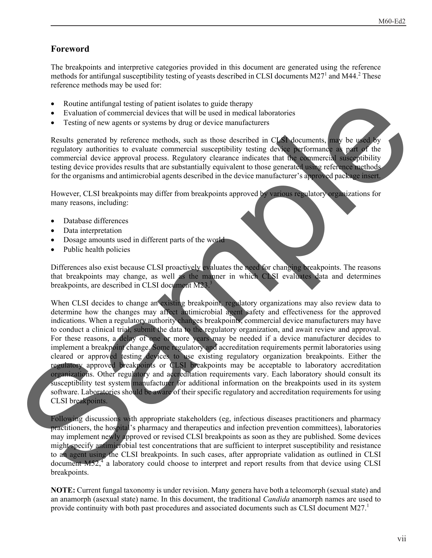## **Foreword**

The breakpoints and interpretive categories provided in this document are generated using the reference methods for antifungal susceptibility testing of yeasts described in CLSI documents M27<sup>1</sup> and M44.<sup>2</sup> These reference methods may be used for:

- Routine antifungal testing of patient isolates to guide therapy
- Evaluation of commercial devices that will be used in medical laboratories
- Testing of new agents or systems by drug or device manufacturers

Results generated by reference methods, such as those described in CLSI documents, may be used by regulatory authorities to evaluate commercial susceptibility testing device performance as part of the commercial device approval process. Regulatory clearance indicates that the commercial susceptibility testing device provides results that are substantially equivalent to those generated using reference methods for the organisms and antimicrobial agents described in the device manufacturer's approved package insert.

However, CLSI breakpoints may differ from breakpoints approved by various regulatory organizations for many reasons, including:

- Database differences
- Data interpretation
- Dosage amounts used in different parts of the world
- Public health policies

Differences also exist because CLSI proactively evaluates the need for changing breakpoints. The reasons that breakpoints may change, as well as the manner in which CLSI evaluates data and determines breakpoints, are described in CLSI document M23.<sup>3</sup>

When CLSI decides to change an existing breakpoint, regulatory organizations may also review data to determine how the changes may affect antimicrobial agent safety and effectiveness for the approved indications. When a regulatory authority changes breakpoints, commercial device manufacturers may have to conduct a clinical trial, submit the data to the regulatory organization, and await review and approval. For these reasons, a delay of one or more years may be needed if a device manufacturer decides to implement a breakpoint change. Some regulatory and accreditation requirements permit laboratories using cleared or approved testing devices to use existing regulatory organization breakpoints. Either the regulatory approved breakpoints or CLSI breakpoints may be acceptable to laboratory accreditation organizations. Other regulatory and accreditation requirements vary. Each laboratory should consult its susceptibility test system manufacturer for additional information on the breakpoints used in its system software. Laboratories should be aware of their specific regulatory and accreditation requirements for using CLSI breakpoints. FRomine and the proposed and the sample developers and the sample developers are all the sample of the sample of the sample of the sample of the sample of the sample of the sample of the sample of the sample of the sample

Following discussions with appropriate stakeholders (eg, infectious diseases practitioners and pharmacy practitioners, the hospital's pharmacy and therapeutics and infection prevention committees), laboratories may implement newly approved or revised CLSI breakpoints as soon as they are published. Some devices might specify antimicrobial test concentrations that are sufficient to interpret susceptibility and resistance to an agent using the CLSI breakpoints. In such cases, after appropriate validation as outlined in CLSI document  $M52<sup>4</sup>$  a laboratory could choose to interpret and report results from that device using CLSI breakpoints.

**NOTE:** Current fungal taxonomy is under revision. Many genera have both a teleomorph (sexual state) and an anamorph (asexual state) name. In this document, the traditional *Candida* anamorph names are used to provide continuity with both past procedures and associated documents such as CLSI document M27.<sup>1</sup>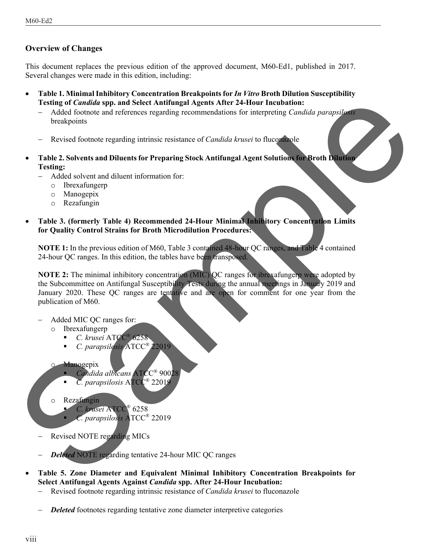### **Overview of Changes**

This document replaces the previous edition of the approved document, M60-Ed1, published in 2017. Several changes were made in this edition, including:

- **Table 1. Minimal Inhibitory Concentration Breakpoints for** *In Vitro* **Broth Dilution Susceptibility Testing of** *Candida* **spp. and Select Antifungal Agents After 24-Hour Incubation:**
	- Added footnote and references regarding recommendations for interpreting *Candida parapsilosis* breakpoints
	- Revised footnote regarding intrinsic resistance of *Candida krusei* to fluconazole
- **Table 2. Solvents and Diluents for Preparing Stock Antifungal Agent Solutions for Broth Dilution Testing:**
	- Added solvent and diluent information for:
		- o Ibrexafungerp
		- o Manogepix
		- o Rezafungin
- **Table 3. (formerly Table 4) Recommended 24-Hour Minimal Inhibitory Concentration Limits for Quality Control Strains for Broth Microdilution Procedures:**

**NOTE 1:** In the previous edition of M60, Table 3 contained 48-hour QC ranges, and Table 4 contained 24-hour QC ranges. In this edition, the tables have been transposed.

**NOTE 2:** The minimal inhibitory concentration (MIC) QC ranges for ibrexafungerp were adopted by the Subcommittee on Antifungal Susceptibility Tests during the annual meetings in January 2019 and January 2020. These QC ranges are tentative and are open for comment for one year from the publication of M60. Testing of Carolina teps and Select Antifiangal Agents Africa Heliour Incidential Control benefits and informations control benefits in intervalsed parameters.<br>
Testing Solvents and Information for Preparing Sciences of C

- Added MIC QC ranges for:
	- o Ibrexafungerp
		- *C. krusei* ATCC® 6258
		- *C. parapsilosis* ATCC<sup>®</sup> 22019

#### **Manogepix**

- *Candida albicans* ATCC® 90028
- *C. parapsilosis* ATCC® 22019
- o Rezafungin
	- *C. krusei* ATCC® 6258
		- *C. parapsilosis* ATCC® 22019
- Revised NOTE regarding MICs
- *Deleted* NOTE regarding tentative 24-hour MIC QC ranges
- **Table 5. Zone Diameter and Equivalent Minimal Inhibitory Concentration Breakpoints for Select Antifungal Agents Against** *Candida* **spp. After 24-Hour Incubation:** 
	- Revised footnote regarding intrinsic resistance of *Candida krusei* to fluconazole
	- **Deleted** footnotes regarding tentative zone diameter interpretive categories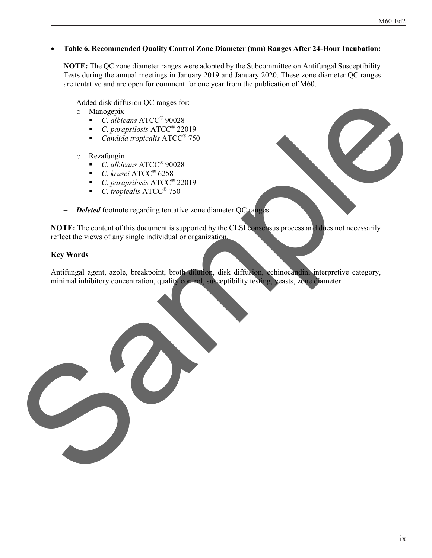#### **Table 6. Recommended Quality Control Zone Diameter (mm) Ranges After 24-Hour Incubation:**

**NOTE:** The QC zone diameter ranges were adopted by the Subcommittee on Antifungal Susceptibility Tests during the annual meetings in January 2019 and January 2020. These zone diameter QC ranges are tentative and are open for comment for one year from the publication of M60.

- Added disk diffusion QC ranges for:
	- $\circ$  Manogepix
		- *C. albicans* ATCC® 90028
		- *C. parapsilosis* ATCC® 22019
		- *Candida tropicalis* ATCC® 750
	- o Rezafungin
		- *C. albicans* ATCC® 90028
		- *C. krusei* ATCC® 6258
		- *C. parapsilosis* ATCC® 22019
		- *C. tropicalis* ATCC® 750
- **Deleted** footnote regarding tentative zone diameter QC ranges

**NOTE:** The content of this document is supported by the CLSI consensus process and does not necessarily reflect the views of any single individual or organization.

#### **Key Words**

Antifungal agent, azole, breakpoint, broth dilution, disk diffusion, echinocandin, interpretive category, minimal inhibitory concentration, quality control, susceptibility testing, yeasts, zone diameter Added dist diffusion OC magnetic Terms<br>
C. Roblincon, ATCC<sup>2</sup> 2003<br>
C. C. Roblincol, ATCC<sup>2</sup> 2019<br>
C. C. Roblincol, ATCC<sup>2</sup> 250<br>
Regularity (New Case ATCC<sup>2</sup> 250<br>
C. *C. Roblincol, ATCC<sup>2</sup> 250*<br>
C. *C. Roblincol, ATCC<sup>2</sup>*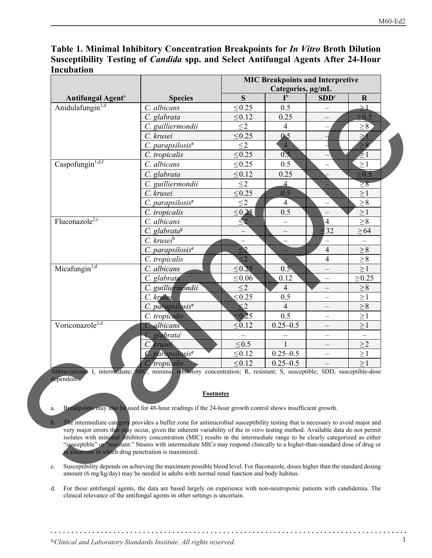# **Table 1. Minimal Inhibitory Concentration Breakpoints for** *In Vitro* **Broth Dilution Susceptibility Testing of** *Candida* **spp. and Select Antifungal Agents After 24-Hour Incubation**

|                                                                                           |                                                                                                                                                                                                                                                                                                                                                                                                                                                                                                                                       | <b>MIC Breakpoints and Interpretive</b> |                   |                          |             |
|-------------------------------------------------------------------------------------------|---------------------------------------------------------------------------------------------------------------------------------------------------------------------------------------------------------------------------------------------------------------------------------------------------------------------------------------------------------------------------------------------------------------------------------------------------------------------------------------------------------------------------------------|-----------------------------------------|-------------------|--------------------------|-------------|
|                                                                                           |                                                                                                                                                                                                                                                                                                                                                                                                                                                                                                                                       |                                         | Categories, µg/mL |                          |             |
| Antifungal Agent <sup>a</sup>                                                             | <b>Species</b>                                                                                                                                                                                                                                                                                                                                                                                                                                                                                                                        | S                                       | $I^{\rm b}$       | SDD <sup>c</sup>         | $\mathbf R$ |
| Anidulafungin <sup>1,d</sup>                                                              | C. albicans                                                                                                                                                                                                                                                                                                                                                                                                                                                                                                                           | $\leq 0.25$                             | 0.5               | $\overline{\phantom{0}}$ | $\geq$ 1    |
|                                                                                           | C. glabrata                                                                                                                                                                                                                                                                                                                                                                                                                                                                                                                           | $\leq 0.12$                             | 0.25              |                          | $\geq 0.5$  |
|                                                                                           | C. guilliermondii                                                                                                                                                                                                                                                                                                                                                                                                                                                                                                                     | $\leq$ 2                                | $\overline{4}$    | $\qquad \qquad -$        | $\geq 8$    |
|                                                                                           | C. krusei                                                                                                                                                                                                                                                                                                                                                                                                                                                                                                                             | $\leq 0.25$                             | 0 <sub>5</sub>    |                          | $\geq 1$    |
|                                                                                           | $C.$ parapsilosis $e$                                                                                                                                                                                                                                                                                                                                                                                                                                                                                                                 | $\leq$ 2                                | $\overline{4}$    |                          | $\geq 8$    |
|                                                                                           | C. tropicalis                                                                                                                                                                                                                                                                                                                                                                                                                                                                                                                         | $\leq 0.25$                             | 0.5               |                          | $\geq 1$    |
| Caspofungin <sup>1,d,f</sup>                                                              | C. albicans                                                                                                                                                                                                                                                                                                                                                                                                                                                                                                                           | $\leq 0.25$                             | 0.5               |                          | $\geq$ 1    |
|                                                                                           | C. glabrata                                                                                                                                                                                                                                                                                                                                                                                                                                                                                                                           | $\leq 0.12$                             | 0.25              |                          | $\geq 0.5$  |
|                                                                                           | C. guilliermondii                                                                                                                                                                                                                                                                                                                                                                                                                                                                                                                     | $\leq$ 2                                | $\overline{4}$    |                          | $\geq 8$    |
|                                                                                           | C. krusei                                                                                                                                                                                                                                                                                                                                                                                                                                                                                                                             | $\leq 0.25$                             | 0.5               |                          | $\geq\!1$   |
|                                                                                           | $C.$ parapsilosis $e$                                                                                                                                                                                                                                                                                                                                                                                                                                                                                                                 | $\leq$ 2                                | $\overline{4}$    | $\qquad \qquad -$        | ${\geq}\,8$ |
|                                                                                           | C. tropicalis                                                                                                                                                                                                                                                                                                                                                                                                                                                                                                                         | $\leq 0.25$                             | 0.5               | $\qquad \qquad -$        | $\geq\!1$   |
| Fluconazole <sup>2,c</sup>                                                                | C. albicans                                                                                                                                                                                                                                                                                                                                                                                                                                                                                                                           | $\leq$ 2                                |                   | $\overline{4}$           | $\geq 8$    |
|                                                                                           | $C.$ glabrata $\frac{8}{3}$                                                                                                                                                                                                                                                                                                                                                                                                                                                                                                           |                                         |                   | $\frac{1}{2}$ 32         | $\geq 64$   |
|                                                                                           | C. krusei <sup>h</sup>                                                                                                                                                                                                                                                                                                                                                                                                                                                                                                                |                                         |                   | $\overline{\phantom{0}}$ |             |
|                                                                                           | C. parapsilosis <sup>e</sup>                                                                                                                                                                                                                                                                                                                                                                                                                                                                                                          | $\leq$ 2                                |                   | $\overline{4}$           | $\geq 8$    |
|                                                                                           | C. tropicalis                                                                                                                                                                                                                                                                                                                                                                                                                                                                                                                         | $\leq$ 2                                |                   | $\overline{4}$           | $\geq 8$    |
| Micafungin <sup>1,d</sup>                                                                 | C. albicans                                                                                                                                                                                                                                                                                                                                                                                                                                                                                                                           | $\leq 0.25$                             | 0.5               |                          | $\geq$ 1    |
|                                                                                           | C. glabrata                                                                                                                                                                                                                                                                                                                                                                                                                                                                                                                           | $\leq 0.06$                             | 0.12              | $\qquad \qquad -$        | $\geq 0.25$ |
|                                                                                           | C. guilliermondii                                                                                                                                                                                                                                                                                                                                                                                                                                                                                                                     | $\leq$ 2                                | $\overline{4}$    | $\overline{\phantom{0}}$ | $\geq 8$    |
|                                                                                           | C. krusei                                                                                                                                                                                                                                                                                                                                                                                                                                                                                                                             | $\leq 0.25$                             | 0.5               |                          | $\geq$ 1    |
|                                                                                           | C. parapsilosis <sup>e</sup>                                                                                                                                                                                                                                                                                                                                                                                                                                                                                                          | $\leq$ 2                                | $\overline{4}$    | $\overline{\phantom{0}}$ | ${\geq}\,8$ |
|                                                                                           | C. tropicalis                                                                                                                                                                                                                                                                                                                                                                                                                                                                                                                         | $\leq 0.25$                             | 0.5               | $\overline{\phantom{0}}$ | $\geq\!1$   |
| Voriconazole <sup>3,d</sup>                                                               | C. albicans                                                                                                                                                                                                                                                                                                                                                                                                                                                                                                                           | $\leq 0.12$                             | $0.25 - 0.5$      | $\overline{\phantom{m}}$ | $\geq$ 1    |
|                                                                                           | C. glabrata <sup>i</sup>                                                                                                                                                                                                                                                                                                                                                                                                                                                                                                              |                                         |                   | $\overline{\phantom{0}}$ | $\equiv$    |
|                                                                                           | C. krusei                                                                                                                                                                                                                                                                                                                                                                                                                                                                                                                             | $\leq 0.5$                              |                   | $\qquad \qquad -$        | $\geq$ 2    |
|                                                                                           | parapsilosis <sup>e</sup>                                                                                                                                                                                                                                                                                                                                                                                                                                                                                                             | $\leq 0.12$                             | $0.25 - 0.5$      | $\overline{\phantom{0}}$ | $\geq\!1$   |
|                                                                                           | C. tropicalis                                                                                                                                                                                                                                                                                                                                                                                                                                                                                                                         | $\leq 0.12$                             | $0.25 - 0.5$      |                          | >1          |
| dependent.                                                                                | Abbreviations: I, intermediate; MIC, minimal inhibitory concentration; R, resistant; S, susceptible; SDD, susceptible-dose<br><b>Footnotes</b>                                                                                                                                                                                                                                                                                                                                                                                        |                                         |                   |                          |             |
| a.                                                                                        | Breakpoints may also be used for 48-hour readings if the 24-hour growth control shows insufficient growth.                                                                                                                                                                                                                                                                                                                                                                                                                            |                                         |                   |                          |             |
| $\mathbf{b}$ .<br>in situations in which drug penetration is maximized.                   | The intermediate category provides a buffer zone for antimicrobial susceptibility testing that is necessary to avoid major and<br>very major errors that may occur, given the inherent variability of the <i>in vitro</i> testing method. Available data do not permit<br>isolates with minimal inhibitory concentration (MIC) results in the intermediate range to be clearly categorized as either<br>"susceptible" or "resistant." Strains with intermediate MICs may respond clinically to a higher-than-standard dose of drug or |                                         |                   |                          |             |
| c.                                                                                        | Susceptibility depends on achieving the maximum possible blood level. For fluconazole, doses higher than the standard dosing                                                                                                                                                                                                                                                                                                                                                                                                          |                                         |                   |                          |             |
| amount (6 mg/kg/day) may be needed in adults with normal renal function and body habitus. |                                                                                                                                                                                                                                                                                                                                                                                                                                                                                                                                       |                                         |                   |                          |             |

#### **Footnotes**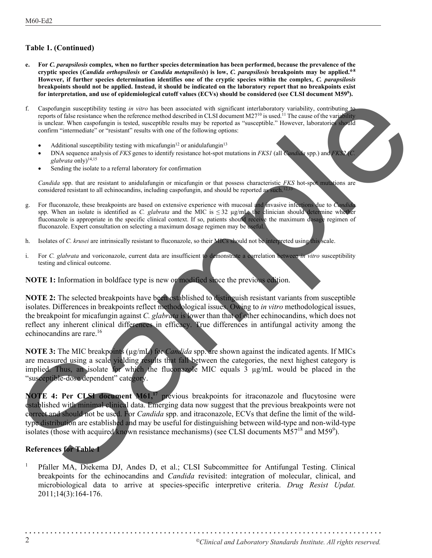#### **Table 1. (Continued)**

- **e. For** *C. parapsilosis* **complex***,* **when no further species determination has been performed, because the prevalence of the cryptic species (***Candida orthopsilosis* **or** *Candida metapsilosis***) is low,** *C. parapsilosis* **breakpoints may be applied.4-8 However, if further species determination identifies one of the cryptic species within the complex,** *C. parapsilosis* **breakpoints should not be applied. Instead, it should be indicated on the laboratory report that no breakpoints exist for interpretation, and use of epidemiological cutoff values (ECVs) should be considered (see CLSI document M599).**
- f. Caspofungin susceptibility testing *in vitro* has been associated with significant interlaboratory variability, contributing to reports of false resistance when the reference method described in CLSI document M27<sup>10</sup> is used.<sup>11</sup> The cause of the variability is unclear. When caspofungin is tested, susceptible results may be reported as "susceptible." However, laboratories should confirm "intermediate" or "resistant" results with one of the following options:
	- Additional susceptibility testing with micafungin<sup>12</sup> or anidulafungin<sup>13</sup>
	- DNA sequence analysis of *FKS* genes to identify resistance hot-spot mutations in *FKS1* (all *Candida* spp.) and *FKS2* (*C.*  glabrata only)<sup>14,15</sup>
	- Sending the isolate to a referral laboratory for confirmation

*Candida* spp. that are resistant to anidulafungin or micafungin or that possess characteristic *FKS* hot-spot mutations are considered resistant to all echinocandins, including caspofungin, and should be reported as such.<sup>12,1</sup>

- g. For fluconazole, these breakpoints are based on extensive experience with mucosal and invasive infections due to *Candida* spp. When an isolate is identified as *C. glabrata* and the MIC is ≤ 32 µg/mL, the clinician should determine whether fluconazole is appropriate in the specific clinical context. If so, patients should receive the maximum dosage regimen of fluconazole. Expert consultation on selecting a maximum dosage regimen may be useful.
- h. Isolates of *C. krusei* are intrinsically resistant to fluconazole, so their MICs should not be interpreted using this scale.
- i. For *C. glabrata* and voriconazole, current data are insufficient to demonstrate a correlation between *in vitro* susceptibility testing and clinical outcome.

**NOTE 1:** Information in boldface type is new or modified since the previous edition.

**NOTE 2:** The selected breakpoints have been established to distinguish resistant variants from susceptible isolates. Differences in breakpoints reflect methodological issues. Owing to *in vitro* methodological issues, the breakpoint for micafungin against *C. glabrata* is lower than that of other echinocandins, which does not reflect any inherent clinical differences in efficacy. True differences in antifungal activity among the echinocandins are rare.<sup>16</sup>

**NOTE 3:** The MIC breakpoints (µg/mL) for *Candida* spp. are shown against the indicated agents. If MICs are measured using a scale yielding results that fall between the categories, the next highest category is implied. Thus, an isolate for which the fluconazole MIC equals 3 µg/mL would be placed in the "susceptible-dose dependent" category.

**NOTE 4: Per CLSI document M61,<sup>17</sup> previous breakpoints for itraconazole and flucytosine were** established with minimal clinical data. Emerging data now suggest that the previous breakpoints were not correct and should not be used. For *Candida* spp. and itraconazole, ECVs that define the limit of the wildtype distribution are established and may be useful for distinguishing between wild-type and non-wild-type isolates (those with acquired known resistance mechanisms) (see CLSI documents  $\overline{M57}^{18}$  and  $\overline{M59}^{9}$ ). Considerate a securities that the constraints are considered to the constraint of the constraints are considered to the constraint of the constraints are considered to the constraints and the constraints are considered to

#### **References for Table 1**

<sup>1</sup> Pfaller MA, Diekema DJ, Andes D, et al.; CLSI Subcommittee for Antifungal Testing. Clinical breakpoints for the echinocandins and *Candida* revisited: integration of molecular, clinical, and microbiological data to arrive at species-specific interpretive criteria. *Drug Resist Updat.* 2011;14(3):164-176.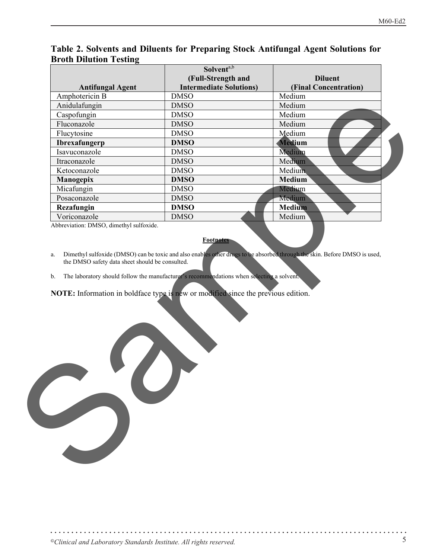| o                       | Solvent <sup>a,b</sup>         |                       |
|-------------------------|--------------------------------|-----------------------|
|                         | (Full-Strength and             | <b>Diluent</b>        |
| <b>Antifungal Agent</b> | <b>Intermediate Solutions)</b> | (Final Concentration) |
| Amphotericin B          | <b>DMSO</b>                    | Medium                |
| Anidulafungin           | <b>DMSO</b>                    | Medium                |
| Caspofungin             | <b>DMSO</b>                    | Medium                |
| Fluconazole             | <b>DMSO</b>                    | Medium                |
| Flucytosine             | <b>DMSO</b>                    | Medium                |
| <b>Ibrexafungerp</b>    | <b>DMSO</b>                    | <b>Medium</b>         |
| Isavuconazole           | <b>DMSO</b>                    | Medium                |
| Itraconazole            | <b>DMSO</b>                    | Medium                |
| Ketoconazole            | <b>DMSO</b>                    | Medium                |
| Manogepix               | <b>DMSO</b>                    | <b>Medium</b>         |
| Micafungin              | <b>DMSO</b>                    | Medium                |
| Posaconazole            | <b>DMSO</b>                    | Medium                |
| Rezafungin              | <b>DMSO</b>                    | <b>Medium</b>         |
| Voriconazole            | <b>DMSO</b>                    | Medium                |

## **Table 2. Solvents and Diluents for Preparing Stock Antifungal Agent Solutions for Broth Dilution Testing**

Abbreviation: DMSO, dimethyl sulfoxide.

#### **Footnotes**

- a. Dimethyl sulfoxide (DMSO) can be toxic and also enables other drugs to be absorbed through the skin. Before DMSO is used, the DMSO safety data sheet should be consulted.
- b. The laboratory should follow the manufacturer's recommendations when selecting a solvent.

**NOTE:** Information in boldface type is new or modified since the previous edition. Sample